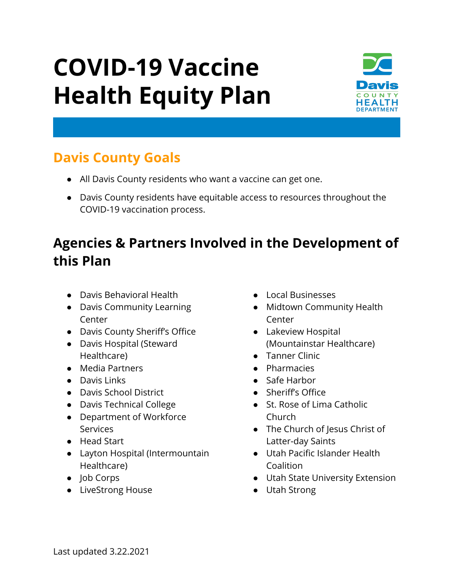# **COVID-19 Vaccine Health Equity Plan**



## **Davis County Goals**

- All Davis County residents who want a vaccine can get one.
- Davis County residents have equitable access to resources throughout the COVID-19 vaccination process.

# **Agencies & Partners Involved in the Development of this Plan**

- Davis Behavioral Health
- Davis Community Learning Center
- Davis County Sheriff's Office
- Davis Hospital (Steward Healthcare)
- Media Partners
- Davis Links
- Davis School District
- Davis Technical College
- Department of Workforce Services
- Head Start
- Layton Hospital (Intermountain Healthcare)
- Job Corps
- LiveStrong House
- Local Businesses
- Midtown Community Health Center
- Lakeview Hospital (Mountainstar Healthcare)
- Tanner Clinic
- Pharmacies
- Safe Harbor
- Sheriff's Office
- St. Rose of Lima Catholic Church
- The Church of Jesus Christ of Latter-day Saints
- Utah Pacific Islander Health Coalition
- Utah State University Extension
- Utah Strong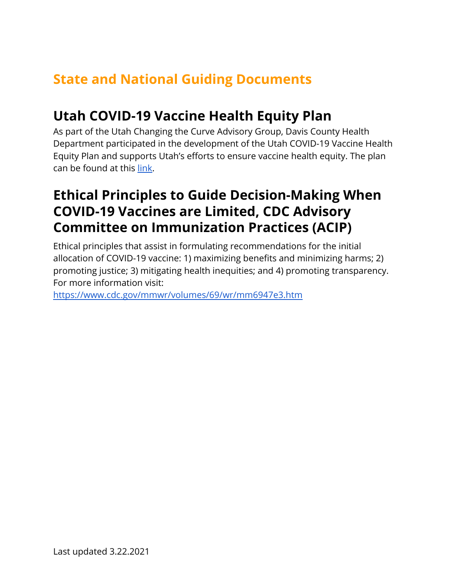## **State and National Guiding Documents**

#### **Utah COVID-19 Vaccine Health Equity Plan**

As part of the Utah Changing the Curve Advisory Group, Davis County Health Department participated in the development of the Utah COVID-19 Vaccine Health Equity Plan and supports Utah's efforts to ensure vaccine health equity. The plan can be found at this [link.](https://drive.google.com/file/d/1zAGzTFY917YUdKLKPAbPOPEcJRU1Fguj/view?usp=sharing)

#### **Ethical Principles to Guide Decision-Making When COVID-19 Vaccines are Limited, CDC Advisory Committee on Immunization Practices (ACIP)**

Ethical principles that assist in formulating recommendations for the initial allocation of COVID-19 vaccine: 1) maximizing benefits and minimizing harms; 2) promoting justice; 3) mitigating health inequities; and 4) promoting transparency. For more information visit:

<https://www.cdc.gov/mmwr/volumes/69/wr/mm6947e3.htm>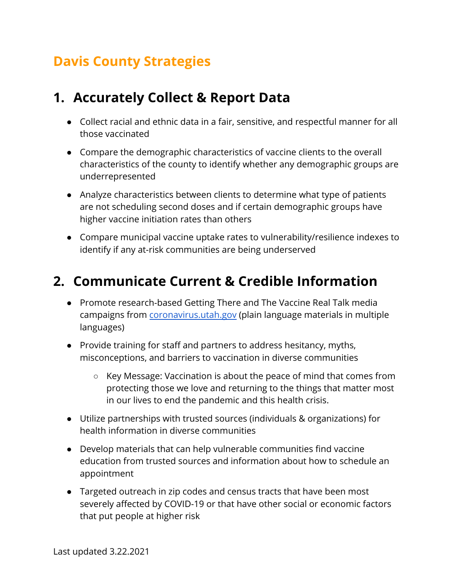## **Davis County Strategies**

## **1. Accurately Collect & Report Data**

- Collect racial and ethnic data in a fair, sensitive, and respectful manner for all those vaccinated
- Compare the demographic characteristics of vaccine clients to the overall characteristics of the county to identify whether any demographic groups are underrepresented
- Analyze characteristics between clients to determine what type of patients are not scheduling second doses and if certain demographic groups have higher vaccine initiation rates than others
- Compare municipal vaccine uptake rates to vulnerability/resilience indexes to identify if any at-risk communities are being underserved

## **2. Communicate Current & Credible Information**

- Promote research-based Getting There and The Vaccine Real Talk media campaigns from [coronavirus.utah.gov](http://coronavirus.utah.gov) (plain language materials in multiple languages)
- Provide training for staff and partners to address hesitancy, myths, misconceptions, and barriers to vaccination in diverse communities
	- Key Message: Vaccination is about the peace of mind that comes from protecting those we love and returning to the things that matter most in our lives to end the pandemic and this health crisis.
- Utilize partnerships with trusted sources (individuals & organizations) for health information in diverse communities
- Develop materials that can help vulnerable communities find vaccine education from trusted sources and information about how to schedule an appointment
- Targeted outreach in zip codes and census tracts that have been most severely affected by COVID-19 or that have other social or economic factors that put people at higher risk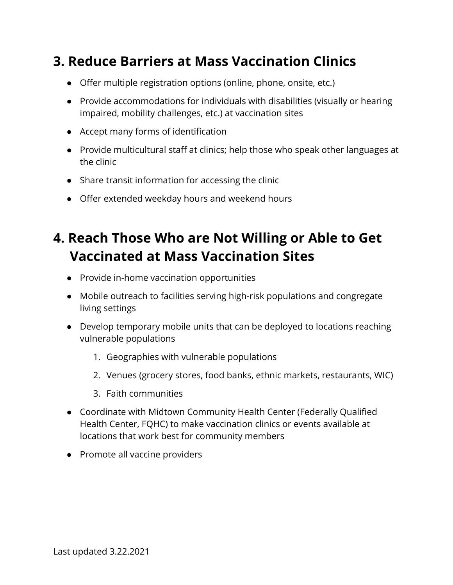## **3. Reduce Barriers at Mass Vaccination Clinics**

- Offer multiple registration options (online, phone, onsite, etc.)
- Provide accommodations for individuals with disabilities (visually or hearing impaired, mobility challenges, etc.) at vaccination sites
- Accept many forms of identification
- Provide multicultural staff at clinics; help those who speak other languages at the clinic
- Share transit information for accessing the clinic
- Offer extended weekday hours and weekend hours

## **4. Reach Those Who are Not Willing or Able to Get Vaccinated at Mass Vaccination Sites**

- Provide in-home vaccination opportunities
- Mobile outreach to facilities serving high-risk populations and congregate living settings
- Develop temporary mobile units that can be deployed to locations reaching vulnerable populations
	- 1. Geographies with vulnerable populations
	- 2. Venues (grocery stores, food banks, ethnic markets, restaurants, WIC)
	- 3. Faith communities
- Coordinate with Midtown Community Health Center (Federally Qualified Health Center, FQHC) to make vaccination clinics or events available at locations that work best for community members
- Promote all vaccine providers